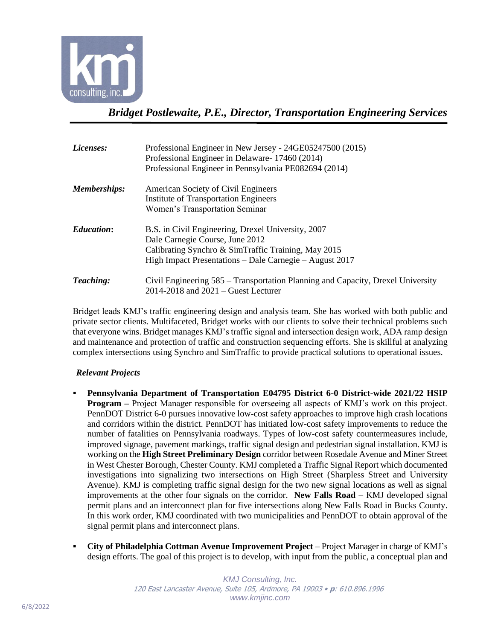

*Bridget Postlewaite, P.E., Director, Transportation Engineering Services*

| Licenses:           | Professional Engineer in New Jersey - 24GE05247500 (2015)<br>Professional Engineer in Delaware - 17460 (2014)<br>Professional Engineer in Pennsylvania PE082694 (2014)                                  |
|---------------------|---------------------------------------------------------------------------------------------------------------------------------------------------------------------------------------------------------|
| <b>Memberships:</b> | American Society of Civil Engineers<br><b>Institute of Transportation Engineers</b><br>Women's Transportation Seminar                                                                                   |
| <b>Education:</b>   | B.S. in Civil Engineering, Drexel University, 2007<br>Dale Carnegie Course, June 2012<br>Calibrating Synchro & SimTraffic Training, May 2015<br>High Impact Presentations - Dale Carnegie - August 2017 |
| Teaching:           | Civil Engineering 585 – Transportation Planning and Capacity, Drexel University<br>$2014 - 2018$ and $2021 -$ Guest Lecturer                                                                            |

Bridget leads KMJ's traffic engineering design and analysis team. She has worked with both public and private sector clients. Multifaceted, Bridget works with our clients to solve their technical problems such that everyone wins. Bridget manages KMJ's traffic signal and intersection design work, ADA ramp design and maintenance and protection of traffic and construction sequencing efforts. She is skillful at analyzing complex intersections using Synchro and SimTraffic to provide practical solutions to operational issues.

## *Relevant Projects*

- **Pennsylvania Department of Transportation E04795 District 6-0 District-wide 2021/22 HSIP Program** – Project Manager responsible for overseeing all aspects of KMJ's work on this project. PennDOT District 6-0 pursues innovative low-cost safety approaches to improve high crash locations and corridors within the district. PennDOT has initiated low-cost safety improvements to reduce the number of fatalities on Pennsylvania roadways. Types of low-cost safety countermeasures include, improved signage, pavement markings, traffic signal design and pedestrian signal installation. KMJ is working on the **High Street Preliminary Design** corridor between Rosedale Avenue and Miner Street in West Chester Borough, Chester County. KMJ completed a Traffic Signal Report which documented investigations into signalizing two intersections on High Street (Sharpless Street and University Avenue). KMJ is completing traffic signal design for the two new signal locations as well as signal improvements at the other four signals on the corridor. **New Falls Road –** KMJ developed signal permit plans and an interconnect plan for five intersections along New Falls Road in Bucks County. In this work order, KMJ coordinated with two municipalities and PennDOT to obtain approval of the signal permit plans and interconnect plans.
- **City of Philadelphia Cottman Avenue Improvement Project** Project Manager in charge of KMJ's design efforts. The goal of this project is to develop, with input from the public, a conceptual plan and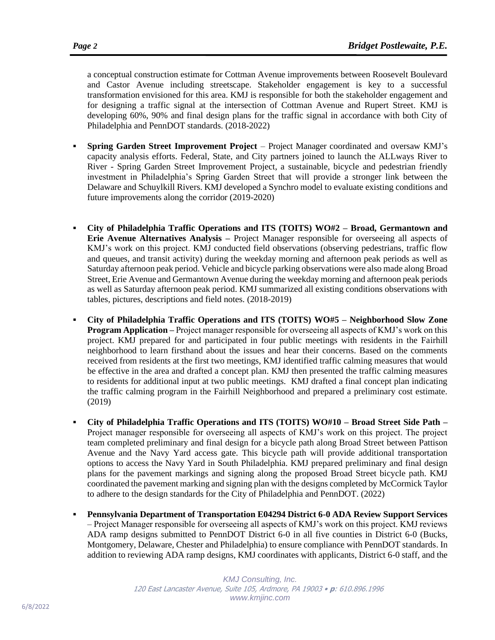a conceptual construction estimate for Cottman Avenue improvements between Roosevelt Boulevard and Castor Avenue including streetscape. Stakeholder engagement is key to a successful transformation envisioned for this area. KMJ is responsible for both the stakeholder engagement and for designing a traffic signal at the intersection of Cottman Avenue and Rupert Street. KMJ is developing 60%, 90% and final design plans for the traffic signal in accordance with both City of Philadelphia and PennDOT standards. (2018-2022)

- **Spring Garden Street Improvement Project** Project Manager coordinated and oversaw KMJ's capacity analysis efforts. Federal, State, and City partners joined to launch the ALLways River to River - Spring Garden Street Improvement Project, a sustainable, bicycle and pedestrian friendly investment in Philadelphia's Spring Garden Street that will provide a stronger link between the Delaware and Schuylkill Rivers. KMJ developed a Synchro model to evaluate existing conditions and future improvements along the corridor (2019-2020)
- **City of Philadelphia Traffic Operations and ITS (TOITS) WO#2 – Broad, Germantown and Erie Avenue Alternatives Analysis –** Project Manager responsible for overseeing all aspects of KMJ's work on this project. KMJ conducted field observations (observing pedestrians, traffic flow and queues, and transit activity) during the weekday morning and afternoon peak periods as well as Saturday afternoon peak period. Vehicle and bicycle parking observations were also made along Broad Street, Erie Avenue and Germantown Avenue during the weekday morning and afternoon peak periods as well as Saturday afternoon peak period. KMJ summarized all existing conditions observations with tables, pictures, descriptions and field notes. (2018-2019)
- **City of Philadelphia Traffic Operations and ITS (TOITS) WO#5 – Neighborhood Slow Zone Program Application –** Project manager responsible for overseeing all aspects of KMJ's work on this project. KMJ prepared for and participated in four public meetings with residents in the Fairhill neighborhood to learn firsthand about the issues and hear their concerns. Based on the comments received from residents at the first two meetings, KMJ identified traffic calming measures that would be effective in the area and drafted a concept plan. KMJ then presented the traffic calming measures to residents for additional input at two public meetings. KMJ drafted a final concept plan indicating the traffic calming program in the Fairhill Neighborhood and prepared a preliminary cost estimate. (2019)
- **City of Philadelphia Traffic Operations and ITS (TOITS) WO#10 – Broad Street Side Path –** Project manager responsible for overseeing all aspects of KMJ's work on this project. The project team completed preliminary and final design for a bicycle path along Broad Street between Pattison Avenue and the Navy Yard access gate. This bicycle path will provide additional transportation options to access the Navy Yard in South Philadelphia. KMJ prepared preliminary and final design plans for the pavement markings and signing along the proposed Broad Street bicycle path. KMJ coordinated the pavement marking and signing plan with the designs completed by McCormick Taylor to adhere to the design standards for the City of Philadelphia and PennDOT. (2022)
- **Pennsylvania Department of Transportation E04294 District 6-0 ADA Review Support Services** – Project Manager responsible for overseeing all aspects of KMJ's work on this project. KMJ reviews ADA ramp designs submitted to PennDOT District 6-0 in all five counties in District 6-0 (Bucks, Montgomery, Delaware, Chester and Philadelphia) to ensure compliance with PennDOT standards. In addition to reviewing ADA ramp designs, KMJ coordinates with applicants, District 6-0 staff, and the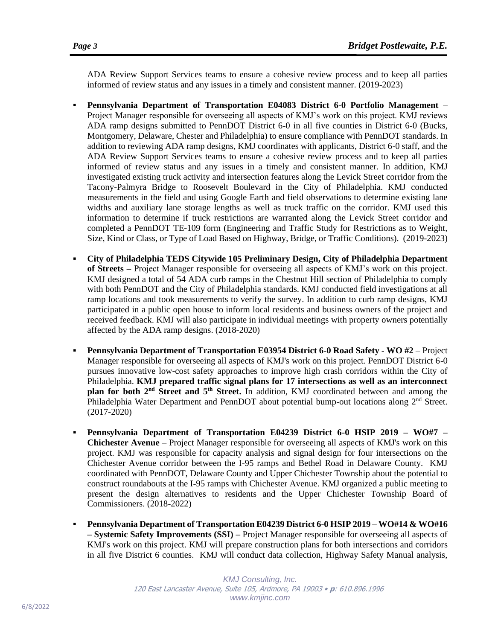ADA Review Support Services teams to ensure a cohesive review process and to keep all parties informed of review status and any issues in a timely and consistent manner. (2019-2023)

- **Pennsylvania Department of Transportation E04083 District 6-0 Portfolio Management** Project Manager responsible for overseeing all aspects of KMJ's work on this project. KMJ reviews ADA ramp designs submitted to PennDOT District 6-0 in all five counties in District 6-0 (Bucks, Montgomery, Delaware, Chester and Philadelphia) to ensure compliance with PennDOT standards. In addition to reviewing ADA ramp designs, KMJ coordinates with applicants, District 6-0 staff, and the ADA Review Support Services teams to ensure a cohesive review process and to keep all parties informed of review status and any issues in a timely and consistent manner. In addition, KMJ investigated existing truck activity and intersection features along the Levick Street corridor from the Tacony-Palmyra Bridge to Roosevelt Boulevard in the City of Philadelphia. KMJ conducted measurements in the field and using Google Earth and field observations to determine existing lane widths and auxiliary lane storage lengths as well as truck traffic on the corridor. KMJ used this information to determine if truck restrictions are warranted along the Levick Street corridor and completed a PennDOT TE-109 form (Engineering and Traffic Study for Restrictions as to Weight, Size, Kind or Class, or Type of Load Based on Highway, Bridge, or Traffic Conditions). (2019-2023)
- **City of Philadelphia TEDS Citywide 105 Preliminary Design, City of Philadelphia Department of Streets –** Project Manager responsible for overseeing all aspects of KMJ's work on this project. KMJ designed a total of 54 ADA curb ramps in the Chestnut Hill section of Philadelphia to comply with both PennDOT and the City of Philadelphia standards. KMJ conducted field investigations at all ramp locations and took measurements to verify the survey. In addition to curb ramp designs, KMJ participated in a public open house to inform local residents and business owners of the project and received feedback. KMJ will also participate in individual meetings with property owners potentially affected by the ADA ramp designs. (2018-2020)
- **Pennsylvania Department of Transportation E03954 District 6-0 Road Safety - WO #2**  Project Manager responsible for overseeing all aspects of KMJ's work on this project. PennDOT District 6-0 pursues innovative low-cost safety approaches to improve high crash corridors within the City of Philadelphia. **KMJ prepared traffic signal plans for 17 intersections as well as an interconnect plan for both 2nd Street and 5th Street.** In addition, KMJ coordinated between and among the Philadelphia Water Department and PennDOT about potential bump-out locations along 2<sup>nd</sup> Street. (2017-2020)
- **Pennsylvania Department of Transportation E04239 District 6-0 HSIP 2019 – WO#7 – Chichester Avenue** – Project Manager responsible for overseeing all aspects of KMJ's work on this project. KMJ was responsible for capacity analysis and signal design for four intersections on the Chichester Avenue corridor between the I-95 ramps and Bethel Road in Delaware County. KMJ coordinated with PennDOT, Delaware County and Upper Chichester Township about the potential to construct roundabouts at the I-95 ramps with Chichester Avenue. KMJ organized a public meeting to present the design alternatives to residents and the Upper Chichester Township Board of Commissioners. (2018-2022)
- **Pennsylvania Department of Transportation E04239 District 6-0 HSIP 2019 – WO#14 & WO#16 – Systemic Safety Improvements (SSI) –** Project Manager responsible for overseeing all aspects of KMJ's work on this project. KMJ will prepare construction plans for both intersections and corridors in all five District 6 counties. KMJ will conduct data collection, Highway Safety Manual analysis,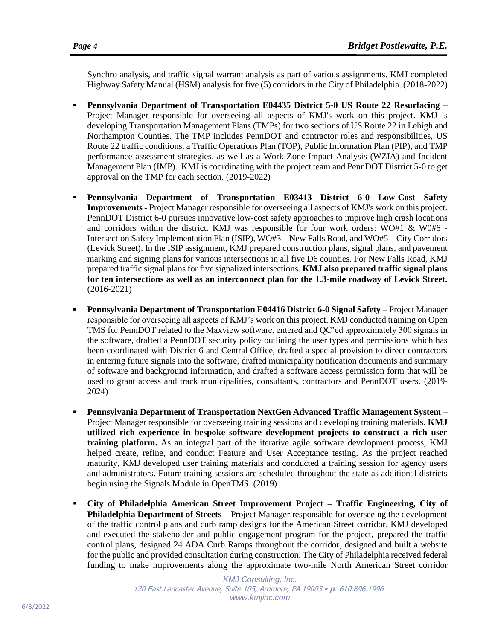Synchro analysis, and traffic signal warrant analysis as part of various assignments. KMJ completed Highway Safety Manual (HSM) analysis for five (5) corridors in the City of Philadelphia. (2018-2022)

- **Pennsylvania Department of Transportation E04435 District 5-0 US Route 22 Resurfacing –** Project Manager responsible for overseeing all aspects of KMJ's work on this project. KMJ is developing Transportation Management Plans (TMPs) for two sections of US Route 22 in Lehigh and Northampton Counties. The TMP includes PennDOT and contractor roles and responsibilities, US Route 22 traffic conditions, a Traffic Operations Plan (TOP), Public Information Plan (PIP), and TMP performance assessment strategies, as well as a Work Zone Impact Analysis (WZIA) and Incident Management Plan (IMP). KMJ is coordinating with the project team and PennDOT District 5-0 to get approval on the TMP for each section. (2019-2022)
- **Pennsylvania Department of Transportation E03413 District 6-0 Low-Cost Safety Improvements -** Project Manager responsible for overseeing all aspects of KMJ's work on this project. PennDOT District 6-0 pursues innovative low-cost safety approaches to improve high crash locations and corridors within the district. KMJ was responsible for four work orders: WO#1 & W0#6 - Intersection Safety Implementation Plan (ISIP), WO#3 – New Falls Road, and WO#5 – City Corridors (Levick Street). In the ISIP assignment, KMJ prepared construction plans, signal plans, and pavement marking and signing plans for various intersections in all five D6 counties. For New Falls Road, KMJ prepared traffic signal plans for five signalized intersections. **KMJ also prepared traffic signal plans for ten intersections as well as an interconnect plan for the 1.3-mile roadway of Levick Street.** (2016-2021)
- **Pennsylvania Department of Transportation E04416 District 6-0 Signal Safety** Project Manager responsible for overseeing all aspects of KMJ's work on this project. KMJ conducted training on Open TMS for PennDOT related to the Maxview software, entered and QC'ed approximately 300 signals in the software, drafted a PennDOT security policy outlining the user types and permissions which has been coordinated with District 6 and Central Office, drafted a special provision to direct contractors in entering future signals into the software, drafted municipality notification documents and summary of software and background information, and drafted a software access permission form that will be used to grant access and track municipalities, consultants, contractors and PennDOT users. (2019- 2024)
- **Pennsylvania Department of Transportation NextGen Advanced Traffic Management System** Project Manager responsible for overseeing training sessions and developing training materials. **KMJ utilized rich experience in bespoke software development projects to construct a rich user training platform.** As an integral part of the iterative agile software development process, KMJ helped create, refine, and conduct Feature and User Acceptance testing. As the project reached maturity, KMJ developed user training materials and conducted a training session for agency users and administrators. Future training sessions are scheduled throughout the state as additional districts begin using the Signals Module in OpenTMS. (2019)
- **City of Philadelphia American Street Improvement Project – Traffic Engineering, City of Philadelphia Department of Streets –** Project Manager responsible for overseeing the development of the traffic control plans and curb ramp designs for the American Street corridor. KMJ developed and executed the stakeholder and public engagement program for the project, prepared the traffic control plans, designed 24 ADA Curb Ramps throughout the corridor, designed and built a website for the public and provided consultation during construction. The City of Philadelphia received federal funding to make improvements along the approximate two-mile North American Street corridor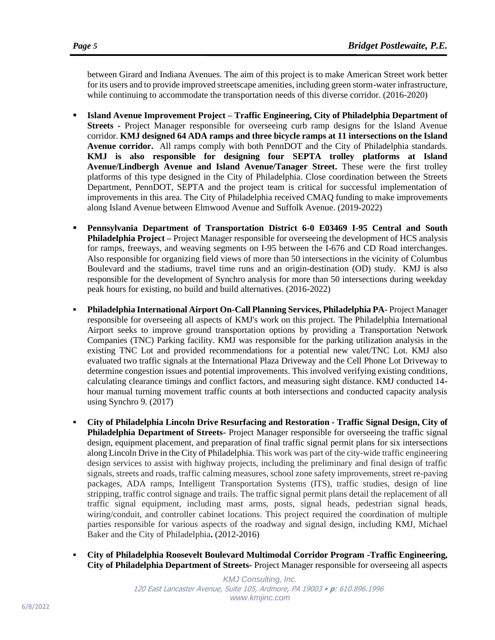between Girard and Indiana Avenues. The aim of this project is to make American Street work better for its users and to provide improved streetscape amenities, including green storm-water infrastructure, while continuing to accommodate the transportation needs of this diverse corridor. (2016-2020)

- **Island Avenue Improvement Project – Traffic Engineering, City of Philadelphia Department of Streets -** Project Manager responsible for overseeing curb ramp designs for the Island Avenue corridor. **KMJ designed 64 ADA ramps and three bicycle ramps at 11 intersections on the Island Avenue corridor.** All ramps comply with both PennDOT and the City of Philadelphia standards. **KMJ is also responsible for designing four SEPTA trolley platforms at Island Avenue/Lindbergh Avenue and Island Avenue/Tanager Street.** These were the first trolley platforms of this type designed in the City of Philadelphia. Close coordination between the Streets Department, PennDOT, SEPTA and the project team is critical for successful implementation of improvements in this area. The City of Philadelphia received CMAQ funding to make improvements along Island Avenue between Elmwood Avenue and Suffolk Avenue. (2019-2022)
- **Pennsylvania Department of Transportation District 6-0 E03469 I-95 Central and South Philadelphia Project –** Project Manager responsible for overseeing the development of HCS analysis for ramps, freeways, and weaving segments on I-95 between the I-676 and CD Road interchanges. Also responsible for organizing field views of more than 50 intersections in the vicinity of Columbus Boulevard and the stadiums, travel time runs and an origin-destination (OD) study. KMJ is also responsible for the development of Synchro analysis for more than 50 intersections during weekday peak hours for existing, no build and build alternatives. (2016-2022)
- **Philadelphia International Airport On-Call Planning Services, Philadelphia PA-** Project Manager responsible for overseeing all aspects of KMJ's work on this project. The Philadelphia International Airport seeks to improve ground transportation options by providing a Transportation Network Companies (TNC) Parking facility. KMJ was responsible for the parking utilization analysis in the existing TNC Lot and provided recommendations for a potential new valet/TNC Lot. KMJ also evaluated two traffic signals at the International Plaza Driveway and the Cell Phone Lot Driveway to determine congestion issues and potential improvements. This involved verifying existing conditions, calculating clearance timings and conflict factors, and measuring sight distance. KMJ conducted 14 hour manual turning movement traffic counts at both intersections and conducted capacity analysis using Synchro 9. (2017)
- **City of Philadelphia Lincoln Drive Resurfacing and Restoration - Traffic Signal Design, City of Philadelphia Department of Streets-** Project Manager responsible for overseeing the traffic signal design, equipment placement, and preparation of final traffic signal permit plans for six intersections along Lincoln Drive in the City of Philadelphia. This work was part of the city-wide traffic engineering design services to assist with highway projects, including the preliminary and final design of traffic signals, streets and roads, traffic calming measures, school zone safety improvements, street re-paving packages, ADA ramps, Intelligent Transportation Systems (ITS), traffic studies, design of line stripping, traffic control signage and trails. The traffic signal permit plans detail the replacement of all traffic signal equipment, including mast arms, posts, signal heads, pedestrian signal heads, wiring/conduit, and controller cabinet locations. This project required the coordination of multiple parties responsible for various aspects of the roadway and signal design, including KMJ, Michael Baker and the City of Philadelphia**.** (2012-2016)
- **City of Philadelphia Roosevelt Boulevard Multimodal Corridor Program -Traffic Engineering, City of Philadelphia Department of Streets-** Project Manager responsible for overseeing all aspects

*KMJ Consulting, Inc.* 120 East Lancaster Avenue, Suite 105, Ardmore, PA 19003 • **p**: 610.896.1996 *www.kmjinc.com*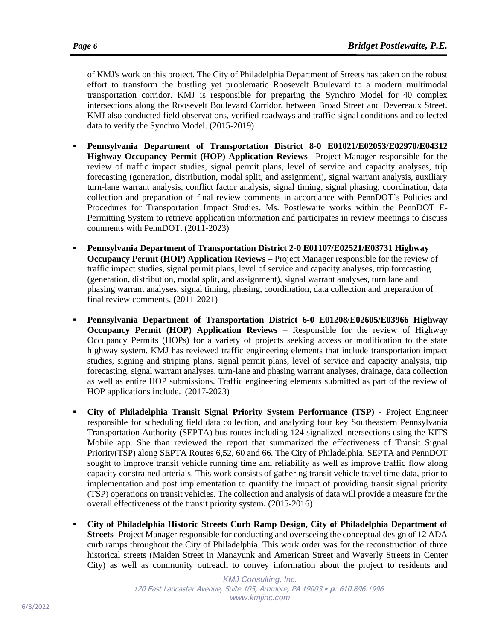effort to transform the bustling yet problematic Roosevelt Boulevard to a modern multimodal transportation corridor. KMJ is responsible for preparing the Synchro Model for 40 complex intersections along the Roosevelt Boulevard Corridor, between Broad Street and Devereaux Street. KMJ also conducted field observations, verified roadways and traffic signal conditions and collected data to verify the Synchro Model. (2015-2019)

- **Pennsylvania Department of Transportation District 8-0 E01021/E02053/E02970/E04312 Highway Occupancy Permit (HOP) Application Reviews –**Project Manager responsible for the review of traffic impact studies, signal permit plans, level of service and capacity analyses, trip forecasting (generation, distribution, modal split, and assignment), signal warrant analysis, auxiliary turn-lane warrant analysis, conflict factor analysis, signal timing, signal phasing, coordination, data collection and preparation of final review comments in accordance with PennDOT's Policies and Procedures for Transportation Impact Studies. Ms. Postlewaite works within the PennDOT E-Permitting System to retrieve application information and participates in review meetings to discuss comments with PennDOT. (2011-2023)
- **Pennsylvania Department of Transportation District 2-0 E01107/E02521/E03731 Highway Occupancy Permit (HOP) Application Reviews –** Project Manager responsible for the review of traffic impact studies, signal permit plans, level of service and capacity analyses, trip forecasting (generation, distribution, modal split, and assignment), signal warrant analyses, turn lane and phasing warrant analyses, signal timing, phasing, coordination, data collection and preparation of final review comments. (2011-2021)
- **Pennsylvania Department of Transportation District 6-0 E01208/E02605/E03966 Highway Occupancy Permit (HOP) Application Reviews –** Responsible for the review of Highway Occupancy Permits (HOPs) for a variety of projects seeking access or modification to the state highway system. KMJ has reviewed traffic engineering elements that include transportation impact studies, signing and striping plans, signal permit plans, level of service and capacity analysis, trip forecasting, signal warrant analyses, turn-lane and phasing warrant analyses, drainage, data collection as well as entire HOP submissions. Traffic engineering elements submitted as part of the review of HOP applications include. (2017-2023)
- **City of Philadelphia Transit Signal Priority System Performance (TSP) -** Project Engineer responsible for scheduling field data collection, and analyzing four key Southeastern Pennsylvania Transportation Authority (SEPTA) bus routes including 124 signalized intersections using the KITS Mobile app. She than reviewed the report that summarized the effectiveness of Transit Signal Priority(TSP) along SEPTA Routes 6,52, 60 and 66. The City of Philadelphia, SEPTA and PennDOT sought to improve transit vehicle running time and reliability as well as improve traffic flow along capacity constrained arterials. This work consists of gathering transit vehicle travel time data, prior to implementation and post implementation to quantify the impact of providing transit signal priority (TSP) operations on transit vehicles. The collection and analysis of data will provide a measure for the overall effectiveness of the transit priority system**.** (2015-2016)
- **City of Philadelphia Historic Streets Curb Ramp Design, City of Philadelphia Department of Streets-** Project Manager responsible for conducting and overseeing the conceptual design of 12 ADA curb ramps throughout the City of Philadelphia. This work order was for the reconstruction of three historical streets (Maiden Street in Manayunk and American Street and Waverly Streets in Center City) as well as community outreach to convey information about the project to residents and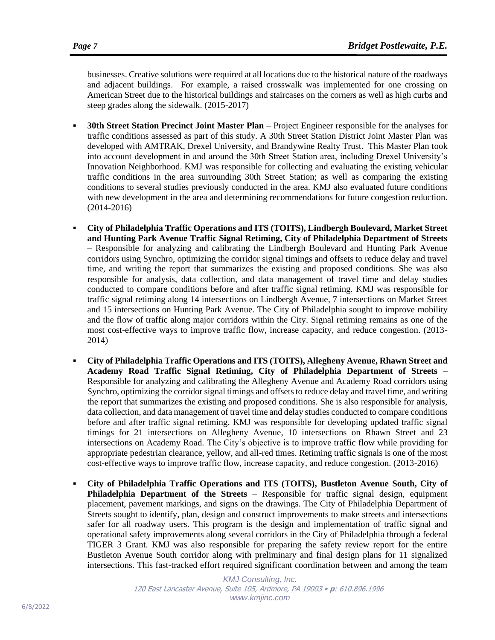businesses. Creative solutions were required at all locations due to the historical nature of the roadways and adjacent buildings. For example, a raised crosswalk was implemented for one crossing on American Street due to the historical buildings and staircases on the corners as well as high curbs and steep grades along the sidewalk. (2015-2017)

- **30th Street Station Precinct Joint Master Plan**  Project Engineer responsible for the analyses for traffic conditions assessed as part of this study. A 30th Street Station District Joint Master Plan was developed with AMTRAK, Drexel University, and Brandywine Realty Trust. This Master Plan took into account development in and around the 30th Street Station area, including Drexel University's Innovation Neighborhood. KMJ was responsible for collecting and evaluating the existing vehicular traffic conditions in the area surrounding 30th Street Station; as well as comparing the existing conditions to several studies previously conducted in the area. KMJ also evaluated future conditions with new development in the area and determining recommendations for future congestion reduction. (2014-2016)
- **City of Philadelphia Traffic Operations and ITS (TOITS), Lindbergh Boulevard, Market Street and Hunting Park Avenue Traffic Signal Retiming, City of Philadelphia Department of Streets –** Responsible for analyzing and calibrating the Lindbergh Boulevard and Hunting Park Avenue corridors using Synchro, optimizing the corridor signal timings and offsets to reduce delay and travel time, and writing the report that summarizes the existing and proposed conditions. She was also responsible for analysis, data collection, and data management of travel time and delay studies conducted to compare conditions before and after traffic signal retiming. KMJ was responsible for traffic signal retiming along 14 intersections on Lindbergh Avenue, 7 intersections on Market Street and 15 intersections on Hunting Park Avenue. The City of Philadelphia sought to improve mobility and the flow of traffic along major corridors within the City. Signal retiming remains as one of the most cost-effective ways to improve traffic flow, increase capacity, and reduce congestion. (2013- 2014)
- **City of Philadelphia Traffic Operations and ITS (TOITS), Allegheny Avenue, Rhawn Street and Academy Road Traffic Signal Retiming, City of Philadelphia Department of Streets –** Responsible for analyzing and calibrating the Allegheny Avenue and Academy Road corridors using Synchro, optimizing the corridor signal timings and offsets to reduce delay and travel time, and writing the report that summarizes the existing and proposed conditions. She is also responsible for analysis, data collection, and data management of travel time and delay studies conducted to compare conditions before and after traffic signal retiming. KMJ was responsible for developing updated traffic signal timings for 21 intersections on Allegheny Avenue, 10 intersections on Rhawn Street and 23 intersections on Academy Road. The City's objective is to improve traffic flow while providing for appropriate pedestrian clearance, yellow, and all-red times. Retiming traffic signals is one of the most cost-effective ways to improve traffic flow, increase capacity, and reduce congestion. (2013-2016)
- **City of Philadelphia Traffic Operations and ITS (TOITS), Bustleton Avenue South, City of Philadelphia Department of the Streets** – Responsible for traffic signal design, equipment placement, pavement markings, and signs on the drawings. The City of Philadelphia Department of Streets sought to identify, plan, design and construct improvements to make streets and intersections safer for all roadway users. This program is the design and implementation of traffic signal and operational safety improvements along several corridors in the City of Philadelphia through a federal TIGER 3 Grant. KMJ was also responsible for preparing the safety review report for the entire Bustleton Avenue South corridor along with preliminary and final design plans for 11 signalized intersections. This fast-tracked effort required significant coordination between and among the team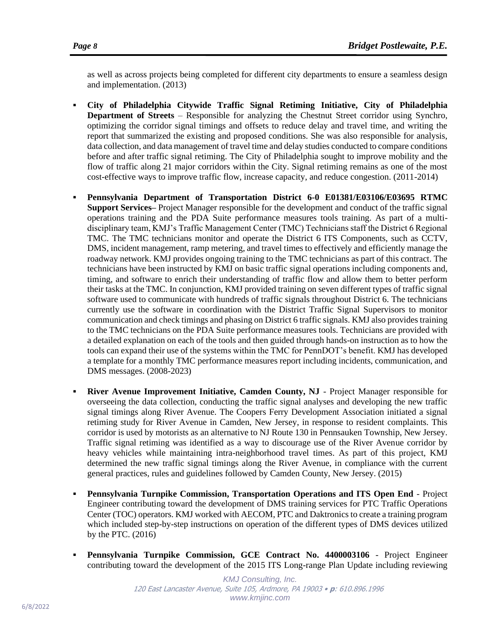as well as across projects being completed for different city departments to ensure a seamless design and implementation. (2013)

- **City of Philadelphia Citywide Traffic Signal Retiming Initiative, City of Philadelphia Department of Streets** – Responsible for analyzing the Chestnut Street corridor using Synchro, optimizing the corridor signal timings and offsets to reduce delay and travel time, and writing the report that summarized the existing and proposed conditions. She was also responsible for analysis, data collection, and data management of travel time and delay studies conducted to compare conditions before and after traffic signal retiming. The City of Philadelphia sought to improve mobility and the flow of traffic along 21 major corridors within the City. Signal retiming remains as one of the most cost-effective ways to improve traffic flow, increase capacity, and reduce congestion. (2011-2014)
- **Pennsylvania Department of Transportation District 6-0 E01381/E03106/E03695 RTMC Support Services–** Project Manager responsible for the development and conduct of the traffic signal operations training and the PDA Suite performance measures tools training. As part of a multidisciplinary team, KMJ's Traffic Management Center (TMC) Technicians staff the District 6 Regional TMC. The TMC technicians monitor and operate the District 6 ITS Components, such as CCTV, DMS, incident management, ramp metering, and travel times to effectively and efficiently manage the roadway network. KMJ provides ongoing training to the TMC technicians as part of this contract. The technicians have been instructed by KMJ on basic traffic signal operations including components and, timing, and software to enrich their understanding of traffic flow and allow them to better perform their tasks at the TMC. In conjunction, KMJ provided training on seven different types of traffic signal software used to communicate with hundreds of traffic signals throughout District 6. The technicians currently use the software in coordination with the District Traffic Signal Supervisors to monitor communication and check timings and phasing on District 6 traffic signals. KMJ also provides training to the TMC technicians on the PDA Suite performance measures tools. Technicians are provided with a detailed explanation on each of the tools and then guided through hands-on instruction as to how the tools can expand their use of the systems within the TMC for PennDOT's benefit. KMJ has developed a template for a monthly TMC performance measures report including incidents, communication, and DMS messages. (2008-2023)
- **River Avenue Improvement Initiative, Camden County, NJ** Project Manager responsible for overseeing the data collection, conducting the traffic signal analyses and developing the new traffic signal timings along River Avenue. The Coopers Ferry Development Association initiated a signal retiming study for River Avenue in Camden, New Jersey, in response to resident complaints. This corridor is used by motorists as an alternative to NJ Route 130 in Pennsauken Township, New Jersey. Traffic signal retiming was identified as a way to discourage use of the River Avenue corridor by heavy vehicles while maintaining intra-neighborhood travel times. As part of this project, KMJ determined the new traffic signal timings along the River Avenue, in compliance with the current general practices, rules and guidelines followed by Camden County, New Jersey. (2015)
- **Pennsylvania Turnpike Commission, Transportation Operations and ITS Open End** Project Engineer contributing toward the development of DMS training services for PTC Traffic Operations Center (TOC) operators. KMJ worked with AECOM, PTC and Daktronics to create a training program which included step-by-step instructions on operation of the different types of DMS devices utilized by the PTC. (2016)
- **Pennsylvania Turnpike Commission, GCE Contract No. 4400003106**  Project Engineer contributing toward the development of the 2015 ITS Long-range Plan Update including reviewing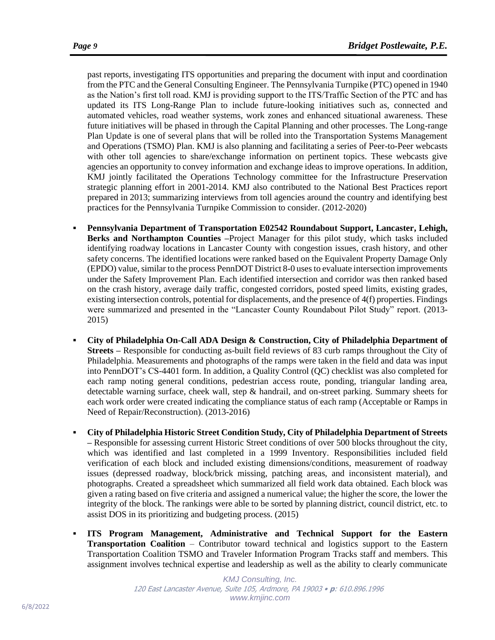past reports, investigating ITS opportunities and preparing the document with input and coordination from the PTC and the General Consulting Engineer. The Pennsylvania Turnpike (PTC) opened in 1940 as the Nation's first toll road. KMJ is providing support to the ITS/Traffic Section of the PTC and has updated its ITS Long-Range Plan to include future-looking initiatives such as, connected and automated vehicles, road weather systems, work zones and enhanced situational awareness. These future initiatives will be phased in through the Capital Planning and other processes. The Long-range Plan Update is one of several plans that will be rolled into the Transportation Systems Management and Operations (TSMO) Plan. KMJ is also planning and facilitating a series of Peer-to-Peer webcasts with other toll agencies to share/exchange information on pertinent topics. These webcasts give agencies an opportunity to convey information and exchange ideas to improve operations. In addition, KMJ jointly facilitated the Operations Technology committee for the Infrastructure Preservation strategic planning effort in 2001-2014. KMJ also contributed to the National Best Practices report prepared in 2013; summarizing interviews from toll agencies around the country and identifying best practices for the Pennsylvania Turnpike Commission to consider. (2012-2020)

- Pennsylvania Department of Transportation E02542 Roundabout Support, Lancaster, Lehigh, **Berks and Northampton Counties –**Project Manager for this pilot study, which tasks included identifying roadway locations in Lancaster County with congestion issues, crash history, and other safety concerns. The identified locations were ranked based on the Equivalent Property Damage Only (EPDO) value, similar to the process PennDOT District 8-0 uses to evaluate intersection improvements under the Safety Improvement Plan. Each identified intersection and corridor was then ranked based on the crash history, average daily traffic, congested corridors, posted speed limits, existing grades, existing intersection controls, potential for displacements, and the presence of 4(f) properties. Findings were summarized and presented in the "Lancaster County Roundabout Pilot Study" report. (2013- 2015)
- City of Philadelphia On-Call ADA Design & Construction, City of Philadelphia Department of **Streets –** Responsible for conducting as-built field reviews of 83 curb ramps throughout the City of Philadelphia. Measurements and photographs of the ramps were taken in the field and data was input into PennDOT's CS-4401 form. In addition, a Quality Control (QC) checklist was also completed for each ramp noting general conditions, pedestrian access route, ponding, triangular landing area, detectable warning surface, cheek wall, step & handrail, and on-street parking. Summary sheets for each work order were created indicating the compliance status of each ramp (Acceptable or Ramps in Need of Repair/Reconstruction). (2013-2016)
- **City of Philadelphia Historic Street Condition Study, City of Philadelphia Department of Streets –** Responsible for assessing current Historic Street conditions of over 500 blocks throughout the city, which was identified and last completed in a 1999 Inventory. Responsibilities included field verification of each block and included existing dimensions/conditions, measurement of roadway issues (depressed roadway, block/brick missing, patching areas, and inconsistent material), and photographs. Created a spreadsheet which summarized all field work data obtained. Each block was given a rating based on five criteria and assigned a numerical value; the higher the score, the lower the integrity of the block. The rankings were able to be sorted by planning district, council district, etc. to assist DOS in its prioritizing and budgeting process. (2015)
- **ITS Program Management, Administrative and Technical Support for the Eastern Transportation Coalition** – Contributor toward technical and logistics support to the Eastern Transportation Coalition TSMO and Traveler Information Program Tracks staff and members. This assignment involves technical expertise and leadership as well as the ability to clearly communicate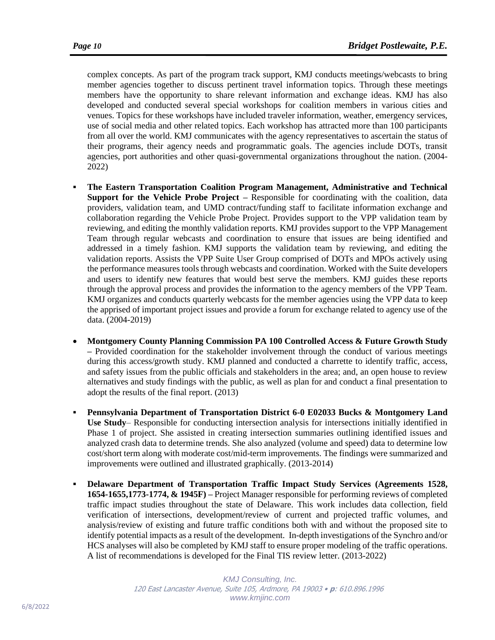complex concepts. As part of the program track support, KMJ conducts meetings/webcasts to bring member agencies together to discuss pertinent travel information topics. Through these meetings members have the opportunity to share relevant information and exchange ideas. KMJ has also developed and conducted several special workshops for coalition members in various cities and venues. Topics for these workshops have included traveler information, weather, emergency services, use of social media and other related topics. Each workshop has attracted more than 100 participants from all over the world. KMJ communicates with the agency representatives to ascertain the status of their programs, their agency needs and programmatic goals. The agencies include DOTs, transit agencies, port authorities and other quasi-governmental organizations throughout the nation. (2004- 2022)

- **The Eastern Transportation Coalition Program Management, Administrative and Technical Support for the Vehicle Probe Project –** Responsible for coordinating with the coalition, data providers, validation team, and UMD contract/funding staff to facilitate information exchange and collaboration regarding the Vehicle Probe Project. Provides support to the VPP validation team by reviewing, and editing the monthly validation reports. KMJ provides support to the VPP Management Team through regular webcasts and coordination to ensure that issues are being identified and addressed in a timely fashion. KMJ supports the validation team by reviewing, and editing the validation reports. Assists the VPP Suite User Group comprised of DOTs and MPOs actively using the performance measures tools through webcasts and coordination. Worked with the Suite developers and users to identify new features that would best serve the members. KMJ guides these reports through the approval process and provides the information to the agency members of the VPP Team. KMJ organizes and conducts quarterly webcasts for the member agencies using the VPP data to keep the apprised of important project issues and provide a forum for exchange related to agency use of the data. (2004-2019)
- **Montgomery County Planning Commission PA 100 Controlled Access & Future Growth Study –** Provided coordination for the stakeholder involvement through the conduct of various meetings during this access/growth study. KMJ planned and conducted a charrette to identify traffic, access, and safety issues from the public officials and stakeholders in the area; and, an open house to review alternatives and study findings with the public, as well as plan for and conduct a final presentation to adopt the results of the final report. (2013)
- Pennsylvania Department of Transportation District 6-0 E02033 Bucks & Montgomery Land **Use Study**– Responsible for conducting intersection analysis for intersections initially identified in Phase 1 of project. She assisted in creating intersection summaries outlining identified issues and analyzed crash data to determine trends. She also analyzed (volume and speed) data to determine low cost/short term along with moderate cost/mid-term improvements. The findings were summarized and improvements were outlined and illustrated graphically. (2013-2014)
- **Delaware Department of Transportation Traffic Impact Study Services (Agreements 1528, 1654-1655,1773-1774, & 1945F) –** Project Manager responsible for performing reviews of completed traffic impact studies throughout the state of Delaware. This work includes data collection, field verification of intersections, development/review of current and projected traffic volumes, and analysis/review of existing and future traffic conditions both with and without the proposed site to identify potential impacts as a result of the development. In-depth investigations of the Synchro and/or HCS analyses will also be completed by KMJ staff to ensure proper modeling of the traffic operations. A list of recommendations is developed for the Final TIS review letter. (2013-2022)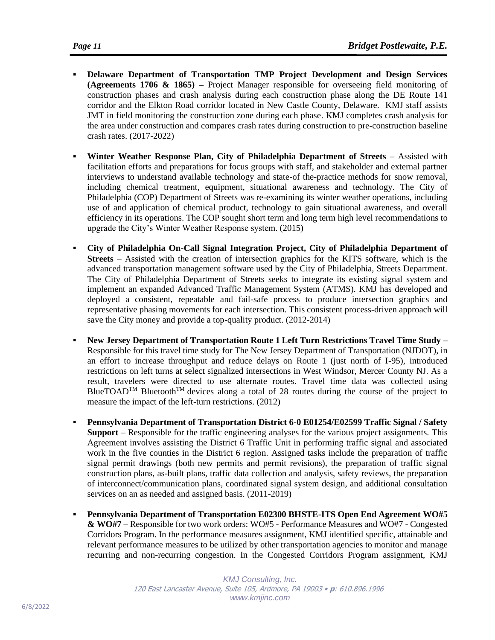- **Delaware Department of Transportation TMP Project Development and Design Services (Agreements 1706 & 1865) –** Project Manager responsible for overseeing field monitoring of construction phases and crash analysis during each construction phase along the DE Route 141 corridor and the Elkton Road corridor located in New Castle County, Delaware. KMJ staff assists JMT in field monitoring the construction zone during each phase. KMJ completes crash analysis for the area under construction and compares crash rates during construction to pre-construction baseline crash rates. (2017-2022)
- **Winter Weather Response Plan, City of Philadelphia Department of Streets Assisted with** facilitation efforts and preparations for focus groups with staff, and stakeholder and external partner interviews to understand available technology and state-of the-practice methods for snow removal, including chemical treatment, equipment, situational awareness and technology. The City of Philadelphia (COP) Department of Streets was re-examining its winter weather operations, including use of and application of chemical product, technology to gain situational awareness, and overall efficiency in its operations. The COP sought short term and long term high level recommendations to upgrade the City's Winter Weather Response system. (2015)
- **City of Philadelphia On-Call Signal Integration Project, City of Philadelphia Department of Streets** – Assisted with the creation of intersection graphics for the KITS software, which is the advanced transportation management software used by the City of Philadelphia, Streets Department. The City of Philadelphia Department of Streets seeks to integrate its existing signal system and implement an expanded Advanced Traffic Management System (ATMS). KMJ has developed and deployed a consistent, repeatable and fail-safe process to produce intersection graphics and representative phasing movements for each intersection. This consistent process-driven approach will save the City money and provide a top-quality product. (2012-2014)
- **New Jersey Department of Transportation Route 1 Left Turn Restrictions Travel Time Study –** Responsible for this travel time study for The New Jersey Department of Transportation (NJDOT), in an effort to increase throughput and reduce delays on Route 1 (just north of I-95), introduced restrictions on left turns at select signalized intersections in West Windsor, Mercer County NJ. As a result, travelers were directed to use alternate routes. Travel time data was collected using BlueTOAD<sup>TM</sup> Bluetooth<sup>TM</sup> devices along a total of 28 routes during the course of the project to measure the impact of the left-turn restrictions. (2012)
- **Pennsylvania Department of Transportation District 6-0 E01254/E02599 Traffic Signal / Safety Support** – Responsible for the traffic engineering analyses for the various project assignments. This Agreement involves assisting the District 6 Traffic Unit in performing traffic signal and associated work in the five counties in the District 6 region. Assigned tasks include the preparation of traffic signal permit drawings (both new permits and permit revisions), the preparation of traffic signal construction plans, as-built plans, traffic data collection and analysis, safety reviews, the preparation of interconnect/communication plans, coordinated signal system design, and additional consultation services on an as needed and assigned basis. (2011-2019)
- **Pennsylvania Department of Transportation E02300 BHSTE-ITS Open End Agreement WO#5 & WO#7 –** Responsible for two work orders: WO#5 - Performance Measures and WO#7 - Congested Corridors Program. In the performance measures assignment, KMJ identified specific, attainable and relevant performance measures to be utilized by other transportation agencies to monitor and manage recurring and non-recurring congestion. In the Congested Corridors Program assignment, KMJ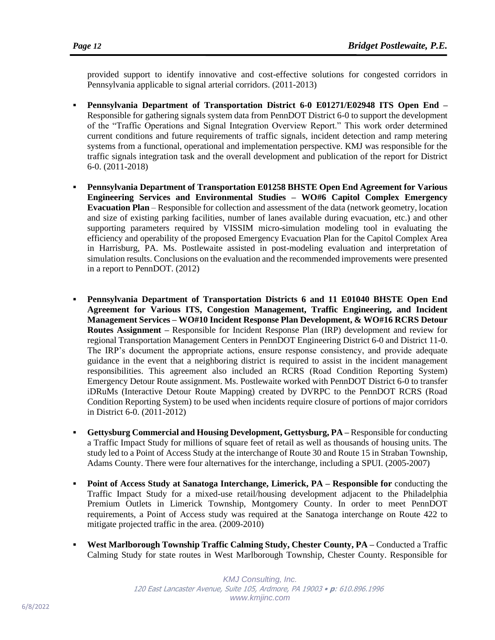provided support to identify innovative and cost-effective solutions for congested corridors in Pennsylvania applicable to signal arterial corridors. (2011-2013)

- **Pennsylvania Department of Transportation District 6-0 E01271/E02948 ITS Open End –** Responsible for gathering signals system data from PennDOT District 6-0 to support the development of the "Traffic Operations and Signal Integration Overview Report." This work order determined current conditions and future requirements of traffic signals, incident detection and ramp metering systems from a functional, operational and implementation perspective. KMJ was responsible for the traffic signals integration task and the overall development and publication of the report for District 6-0. (2011-2018)
- **Pennsylvania Department of Transportation E01258 BHSTE Open End Agreement for Various Engineering Services and Environmental Studies – WO#6 Capitol Complex Emergency Evacuation Plan** – Responsible for collection and assessment of the data (network geometry, location and size of existing parking facilities, number of lanes available during evacuation, etc.) and other supporting parameters required by VISSIM micro-simulation modeling tool in evaluating the efficiency and operability of the proposed Emergency Evacuation Plan for the Capitol Complex Area in Harrisburg, PA. Ms. Postlewaite assisted in post-modeling evaluation and interpretation of simulation results. Conclusions on the evaluation and the recommended improvements were presented in a report to PennDOT. (2012)
- **Pennsylvania Department of Transportation Districts 6 and 11 E01040 BHSTE Open End Agreement for Various ITS, Congestion Management, Traffic Engineering, and Incident Management Services – WO#10 Incident Response Plan Development, & WO#16 RCRS Detour Routes Assignment –** Responsible for Incident Response Plan (IRP) development and review for regional Transportation Management Centers in PennDOT Engineering District 6-0 and District 11-0. The IRP's document the appropriate actions, ensure response consistency, and provide adequate guidance in the event that a neighboring district is required to assist in the incident management responsibilities. This agreement also included an RCRS (Road Condition Reporting System) Emergency Detour Route assignment. Ms. Postlewaite worked with PennDOT District 6-0 to transfer iDRuMs (Interactive Detour Route Mapping) created by DVRPC to the PennDOT RCRS (Road Condition Reporting System) to be used when incidents require closure of portions of major corridors in District 6-0. (2011-2012)
- **Gettysburg Commercial and Housing Development, Gettysburg, PA –** Responsible for conducting a Traffic Impact Study for millions of square feet of retail as well as thousands of housing units. The study led to a Point of Access Study at the interchange of Route 30 and Route 15 in Straban Township, Adams County. There were four alternatives for the interchange, including a SPUI. (2005-2007)
- **Point of Access Study at Sanatoga Interchange, Limerick, PA – Responsible for** conducting the Traffic Impact Study for a mixed-use retail/housing development adjacent to the Philadelphia Premium Outlets in Limerick Township, Montgomery County. In order to meet PennDOT requirements, a Point of Access study was required at the Sanatoga interchange on Route 422 to mitigate projected traffic in the area. (2009-2010)
- **West Marlborough Township Traffic Calming Study, Chester County, PA –** Conducted a Traffic Calming Study for state routes in West Marlborough Township, Chester County. Responsible for